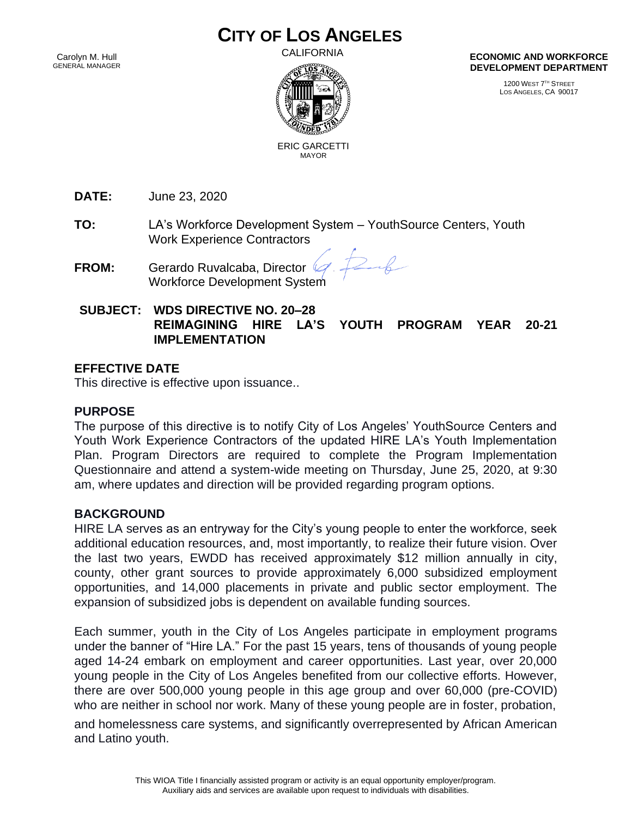# **CITY OF LOS ANGELES**

Carolyn M. Hull GENERAL MANAGER CALIFORNIA



**ECONOMIC AND WORKFORCE DEVELOPMENT DEPARTMENT**

> 1200 WEST 7 TH STREET LOS ANGELES, CA 90017

 ERIC GARCETTI MAYOR

**DATE:** June 23, 2020

**TO:** LA's Workforce Development System – YouthSource Centers, Youth Work Experience Contractors

**FROM:** Gerardo Ruvalcaba, Director Workforce Development System

 $26$ 

## **SUBJECT: WDS DIRECTIVE NO. 20–28 REIMAGINING HIRE LA'S YOUTH PROGRAM YEAR 20-21 IMPLEMENTATION**

#### **EFFECTIVE DATE**

This directive is effective upon issuance..

## **PURPOSE**

The purpose of this directive is to notify City of Los Angeles' YouthSource Centers and Youth Work Experience Contractors of the updated HIRE LA's Youth Implementation Plan. Program Directors are required to complete the Program Implementation Questionnaire and attend a system-wide meeting on Thursday, June 25, 2020, at 9:30 am, where updates and direction will be provided regarding program options.

## **BACKGROUND**

HIRE LA serves as an entryway for the City's young people to enter the workforce, seek additional education resources, and, most importantly, to realize their future vision. Over the last two years, EWDD has received approximately \$12 million annually in city, county, other grant sources to provide approximately 6,000 subsidized employment opportunities, and 14,000 placements in private and public sector employment. The expansion of subsidized jobs is dependent on available funding sources.

Each summer, youth in the City of Los Angeles participate in employment programs under the banner of "Hire LA." For the past 15 years, tens of thousands of young people aged 14-24 embark on employment and career opportunities. Last year, over 20,000 young people in the City of Los Angeles benefited from our collective efforts. However, there are over 500,000 young people in this age group and over 60,000 (pre-COVID) who are neither in school nor work. Many of these young people are in foster, probation,

and homelessness care systems, and significantly overrepresented by African American and Latino youth.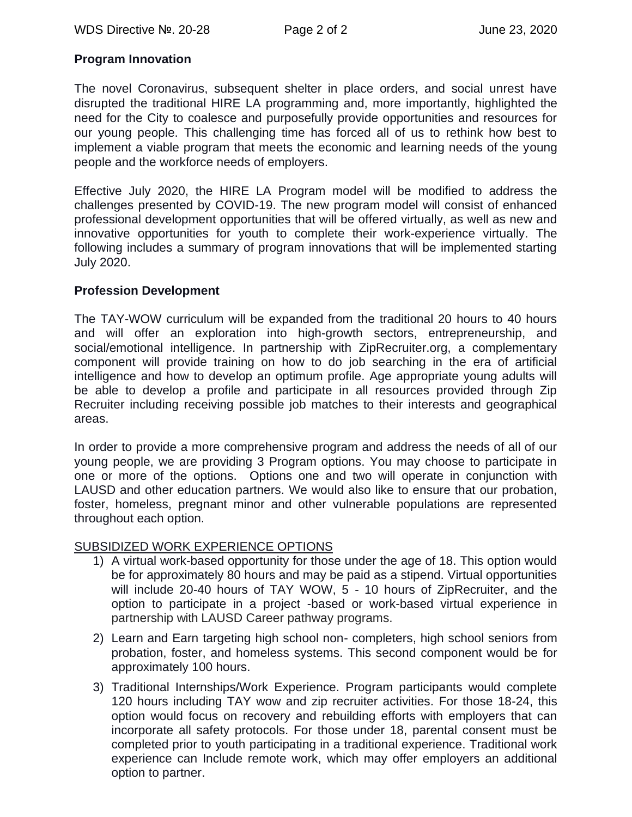## **Program Innovation**

The novel Coronavirus, subsequent shelter in place orders, and social unrest have disrupted the traditional HIRE LA programming and, more importantly, highlighted the need for the City to coalesce and purposefully provide opportunities and resources for our young people. This challenging time has forced all of us to rethink how best to implement a viable program that meets the economic and learning needs of the young people and the workforce needs of employers.

Effective July 2020, the HIRE LA Program model will be modified to address the challenges presented by COVID-19. The new program model will consist of enhanced professional development opportunities that will be offered virtually, as well as new and innovative opportunities for youth to complete their work-experience virtually. The following includes a summary of program innovations that will be implemented starting July 2020.

#### **Profession Development**

The TAY-WOW curriculum will be expanded from the traditional 20 hours to 40 hours and will offer an exploration into high-growth sectors, entrepreneurship, and social/emotional intelligence. In partnership with ZipRecruiter.org, a complementary component will provide training on how to do job searching in the era of artificial intelligence and how to develop an optimum profile. Age appropriate young adults will be able to develop a profile and participate in all resources provided through Zip Recruiter including receiving possible job matches to their interests and geographical areas.

In order to provide a more comprehensive program and address the needs of all of our young people, we are providing 3 Program options. You may choose to participate in one or more of the options. Options one and two will operate in conjunction with LAUSD and other education partners. We would also like to ensure that our probation, foster, homeless, pregnant minor and other vulnerable populations are represented throughout each option.

## SUBSIDIZED WORK EXPERIENCE OPTIONS

- 1) A virtual work-based opportunity for those under the age of 18. This option would be for approximately 80 hours and may be paid as a stipend. Virtual opportunities will include 20-40 hours of TAY WOW, 5 - 10 hours of ZipRecruiter, and the option to participate in a project -based or work-based virtual experience in partnership with LAUSD Career pathway programs.
- 2) Learn and Earn targeting high school non- completers, high school seniors from probation, foster, and homeless systems. This second component would be for approximately 100 hours.
- 3) Traditional Internships/Work Experience. Program participants would complete 120 hours including TAY wow and zip recruiter activities. For those 18-24, this option would focus on recovery and rebuilding efforts with employers that can incorporate all safety protocols. For those under 18, parental consent must be completed prior to youth participating in a traditional experience. Traditional work experience can Include remote work, which may offer employers an additional option to partner.